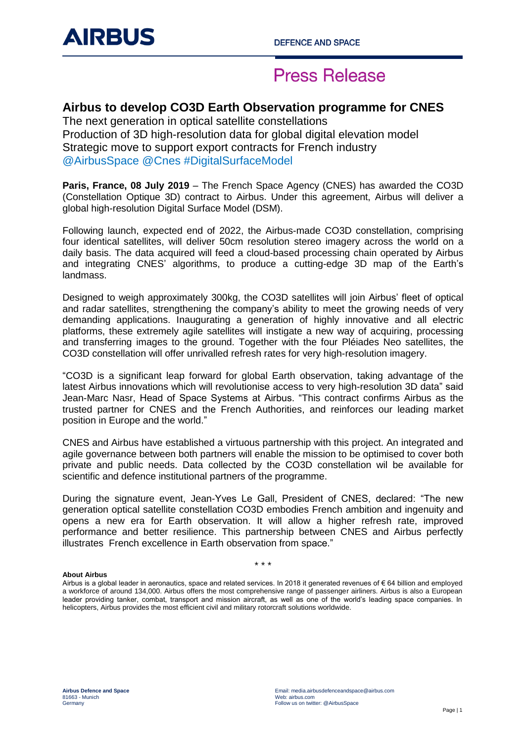## **Press Release**

### **Airbus to develop CO3D Earth Observation programme for CNES**

The next generation in optical satellite constellations Production of 3D high-resolution data for global digital elevation model Strategic move to support export contracts for French industry @AirbusSpace @Cnes #DigitalSurfaceModel

**Paris, France, 08 July 2019** – The French Space Agency (CNES) has awarded the CO3D (Constellation Optique 3D) contract to Airbus. Under this agreement, Airbus will deliver a global high-resolution Digital Surface Model (DSM).

Following launch, expected end of 2022, the Airbus-made CO3D constellation, comprising four identical satellites, will deliver 50cm resolution stereo imagery across the world on a daily basis. The data acquired will feed a cloud-based processing chain operated by Airbus and integrating CNES' algorithms, to produce a cutting-edge 3D map of the Earth's landmass.

Designed to weigh approximately 300kg, the CO3D satellites will join Airbus' fleet of optical and radar satellites, strengthening the company's ability to meet the growing needs of very demanding applications. Inaugurating a generation of highly innovative and all electric platforms, these extremely agile satellites will instigate a new way of acquiring, processing and transferring images to the ground. Together with the four Pléiades Neo satellites, the CO3D constellation will offer unrivalled refresh rates for very high-resolution imagery.

"CO3D is a significant leap forward for global Earth observation, taking advantage of the latest Airbus innovations which will revolutionise access to very high-resolution 3D data" said Jean-Marc Nasr, Head of Space Systems at Airbus. "This contract confirms Airbus as the trusted partner for CNES and the French Authorities, and reinforces our leading market position in Europe and the world."

CNES and Airbus have established a virtuous partnership with this project. An integrated and agile governance between both partners will enable the mission to be optimised to cover both private and public needs. Data collected by the CO3D constellation wil be available for scientific and defence institutional partners of the programme.

During the signature event, Jean-Yves Le Gall, President of CNES, declared: "The new generation optical satellite constellation CO3D embodies French ambition and ingenuity and opens a new era for Earth observation. It will allow a higher refresh rate, improved performance and better resilience. This partnership between CNES and Airbus perfectly illustrates French excellence in Earth observation from space."

#### **About Airbus**

Airbus is a global leader in aeronautics, space and related services. In 2018 it generated revenues of € 64 billion and employed a workforce of around 134,000. Airbus offers the most comprehensive range of passenger airliners. Airbus is also a European leader providing tanker, combat, transport and mission aircraft, as well as one of the world's leading space companies. In helicopters, Airbus provides the most efficient civil and military rotorcraft solutions worldwide.

\* \* \*